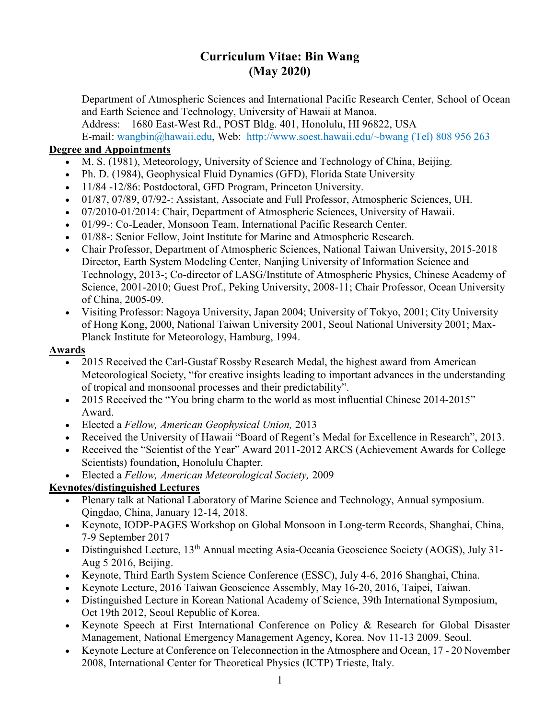# Curriculum Vitae: Bin Wang (May 2020)

Department of Atmospheric Sciences and International Pacific Research Center, School of Ocean and Earth Science and Technology, University of Hawaii at Manoa.

Address: 1680 East-West Rd., POST Bldg. 401, Honolulu, HI 96822, USA

E-mail: wangbin@hawaii.edu, Web: http://www.soest.hawaii.edu/~bwang (Tel) 808 956 263

### Degree and Appointments

- M. S. (1981), Meteorology, University of Science and Technology of China, Beijing.
- Ph. D. (1984), Geophysical Fluid Dynamics (GFD), Florida State University
- 11/84 -12/86: Postdoctoral, GFD Program, Princeton University.
- 01/87, 07/89, 07/92-: Assistant, Associate and Full Professor, Atmospheric Sciences, UH.
- 07/2010-01/2014: Chair, Department of Atmospheric Sciences, University of Hawaii.
- 01/99-: Co-Leader, Monsoon Team, International Pacific Research Center.
- 01/88-: Senior Fellow, Joint Institute for Marine and Atmospheric Research.
- Chair Professor, Department of Atmospheric Sciences, National Taiwan University, 2015-2018 Director, Earth System Modeling Center, Nanjing University of Information Science and Technology, 2013-; Co-director of LASG/Institute of Atmospheric Physics, Chinese Academy of Science, 2001-2010; Guest Prof., Peking University, 2008-11; Chair Professor, Ocean University of China, 2005-09.
- Visiting Professor: Nagoya University, Japan 2004; University of Tokyo, 2001; City University of Hong Kong, 2000, National Taiwan University 2001, Seoul National University 2001; Max-Planck Institute for Meteorology, Hamburg, 1994.

#### Awards

- 2015 Received the Carl-Gustaf Rossby Research Medal, the highest award from American Meteorological Society, "for creative insights leading to important advances in the understanding of tropical and monsoonal processes and their predictability".
- 2015 Received the "You bring charm to the world as most influential Chinese 2014-2015" Award.
- Elected a Fellow, American Geophysical Union, 2013
- Received the University of Hawaii "Board of Regent's Medal for Excellence in Research", 2013.
- Received the "Scientist of the Year" Award 2011-2012 ARCS (Achievement Awards for College Scientists) foundation, Honolulu Chapter.
- Elected a Fellow, American Meteorological Society, 2009

#### Keynotes/distinguished Lectures

- Plenary talk at National Laboratory of Marine Science and Technology, Annual symposium. Qingdao, China, January 12-14, 2018.
- Keynote, IODP-PAGES Workshop on Global Monsoon in Long-term Records, Shanghai, China, 7-9 September 2017
- Distinguished Lecture, 13<sup>th</sup> Annual meeting Asia-Oceania Geoscience Society (AOGS), July 31-Aug 5 2016, Beijing.
- Keynote, Third Earth System Science Conference (ESSC), July 4-6, 2016 Shanghai, China.
- Keynote Lecture, 2016 Taiwan Geoscience Assembly, May 16-20, 2016, Taipei, Taiwan.
- Distinguished Lecture in Korean National Academy of Science, 39th International Symposium, Oct 19th 2012, Seoul Republic of Korea.
- Keynote Speech at First International Conference on Policy & Research for Global Disaster Management, National Emergency Management Agency, Korea. Nov 11-13 2009. Seoul.
- Keynote Lecture at Conference on Teleconnection in the Atmosphere and Ocean, 17 20 November 2008, International Center for Theoretical Physics (ICTP) Trieste, Italy.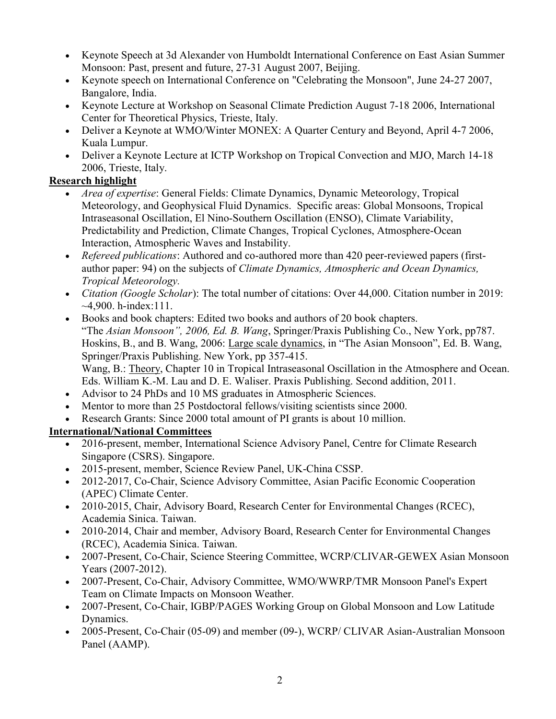- Keynote Speech at 3d Alexander von Humboldt International Conference on East Asian Summer Monsoon: Past, present and future, 27-31 August 2007, Beijing.
- Keynote speech on International Conference on "Celebrating the Monsoon", June 24-27 2007, Bangalore, India.
- Keynote Lecture at Workshop on Seasonal Climate Prediction August 7-18 2006, International Center for Theoretical Physics, Trieste, Italy.
- Deliver a Keynote at WMO/Winter MONEX: A Quarter Century and Beyond, April 4-7 2006, Kuala Lumpur.
- Deliver a Keynote Lecture at ICTP Workshop on Tropical Convection and MJO, March 14-18 2006, Trieste, Italy.

### Research highlight

- Area of expertise: General Fields: Climate Dynamics, Dynamic Meteorology, Tropical Meteorology, and Geophysical Fluid Dynamics. Specific areas: Global Monsoons, Tropical Intraseasonal Oscillation, El Nino-Southern Oscillation (ENSO), Climate Variability, Predictability and Prediction, Climate Changes, Tropical Cyclones, Atmosphere-Ocean Interaction, Atmospheric Waves and Instability.
- Refereed publications: Authored and co-authored more than 420 peer-reviewed papers (firstauthor paper: 94) on the subjects of Climate Dynamics, Atmospheric and Ocean Dynamics, Tropical Meteorology.
- Citation (Google Scholar): The total number of citations: Over 44,000. Citation number in 2019:  $~11.$   $~14.900.$  h-index:111.
- Books and book chapters: Edited two books and authors of 20 book chapters. "The Asian Monsoon", 2006, Ed. B. Wang, Springer/Praxis Publishing Co., New York, pp787. Hoskins, B., and B. Wang, 2006: Large scale dynamics, in "The Asian Monsoon", Ed. B. Wang, Springer/Praxis Publishing. New York, pp 357-415. Wang, B.: Theory, Chapter 10 in Tropical Intraseasonal Oscillation in the Atmosphere and Ocean. Eds. William K.-M. Lau and D. E. Waliser. Praxis Publishing. Second addition, 2011.
- Advisor to 24 PhDs and 10 MS graduates in Atmospheric Sciences.
- Mentor to more than 25 Postdoctoral fellows/visiting scientists since 2000.
- Research Grants: Since 2000 total amount of PI grants is about 10 million.

## International/National Committees

- 2016-present, member, International Science Advisory Panel, Centre for Climate Research Singapore (CSRS). Singapore.
- 2015-present, member, Science Review Panel, UK-China CSSP.
- 2012-2017, Co-Chair, Science Advisory Committee, Asian Pacific Economic Cooperation (APEC) Climate Center.
- 2010-2015, Chair, Advisory Board, Research Center for Environmental Changes (RCEC), Academia Sinica. Taiwan.
- 2010-2014, Chair and member, Advisory Board, Research Center for Environmental Changes (RCEC), Academia Sinica. Taiwan.
- 2007-Present, Co-Chair, Science Steering Committee, WCRP/CLIVAR-GEWEX Asian Monsoon Years (2007-2012).
- 2007-Present, Co-Chair, Advisory Committee, WMO/WWRP/TMR Monsoon Panel's Expert Team on Climate Impacts on Monsoon Weather.
- 2007-Present, Co-Chair, IGBP/PAGES Working Group on Global Monsoon and Low Latitude Dynamics.
- 2005-Present, Co-Chair (05-09) and member (09-), WCRP/ CLIVAR Asian-Australian Monsoon Panel (AAMP).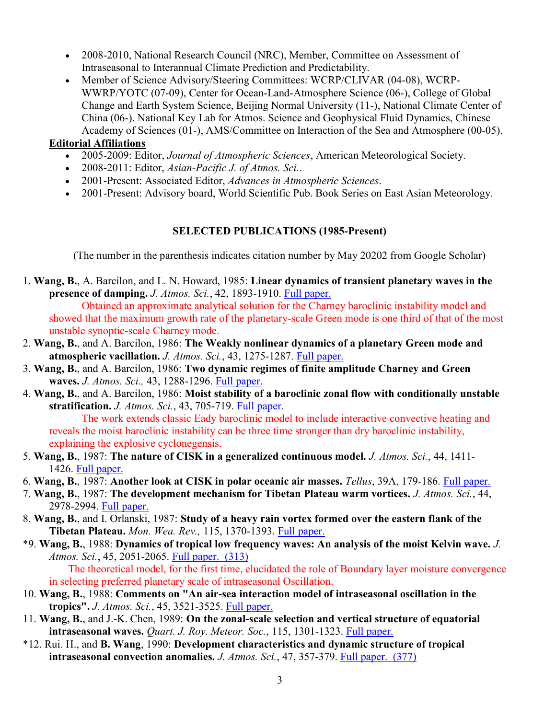- 2008-2010, National Research Council (NRC), Member, Committee on Assessment of Intraseasonal to Interannual Climate Prediction and Predictability.
- Member of Science Advisory/Steering Committees: WCRP/CLIVAR (04-08), WCRP-WWRP/YOTC (07-09), Center for Ocean-Land-Atmosphere Science (06-), College of Global Change and Earth System Science, Beijing Normal University (11-), National Climate Center of China (06-). National Key Lab for Atmos. Science and Geophysical Fluid Dynamics, Chinese Academy of Sciences (01-), AMS/Committee on Interaction of the Sea and Atmosphere (00-05).

#### Editorial Affiliations

- 2005-2009: Editor, Journal of Atmospheric Sciences, American Meteorological Society.
- 2008-2011: Editor, Asian-Pacific J. of Atmos. Sci..
- 2001-Present: Associated Editor, Advances in Atmospheric Sciences.
- 2001-Present: Advisory board, World Scientific Pub. Book Series on East Asian Meteorology.

#### SELECTED PUBLICATIONS (1985-Present)

(The number in the parenthesis indicates citation number by May 20202 from Google Scholar)

1. Wang, B., A. Barcilon, and L. N. Howard, 1985: Linear dynamics of transient planetary waves in the presence of damping. J. Atmos. Sci., 42, 1893-1910. Full paper.

 Obtained an approximate analytical solution for the Charney baroclinic instability model and showed that the maximum growth rate of the planetary-scale Green mode is one third of that of the most unstable synoptic-scale Charney mode.

- 2. Wang, B., and A. Barcilon, 1986: The Weakly nonlinear dynamics of a planetary Green mode and atmospheric vacillation. J. Atmos. Sci., 43, 1275-1287. Full paper.
- 3. Wang, B., and A. Barcilon, 1986: Two dynamic regimes of finite amplitude Charney and Green waves. *J. Atmos. Sci.*, 43, 1288-1296. Full paper.
- 4. Wang, B., and A. Barcilon, 1986: Moist stability of a baroclinic zonal flow with conditionally unstable stratification. J. Atmos. Sci., 43, 705-719. Full paper.

 The work extends classic Eady baroclinic model to include interactive convective heating and reveals the moist baroclinic instability can be three time stronger than dry baroclinic instability, explaining the explosive cyclonegensis.

- 5. Wang, B., 1987: The nature of CISK in a generalized continuous model. J. Atmos. Sci., 44, 1411- 1426. Full paper.
- 6. Wang, B., 1987: Another look at CISK in polar oceanic air masses. Tellus, 39A, 179-186. Full paper.
- 7. Wang, B., 1987: The development mechanism for Tibetan Plateau warm vortices. J. Atmos. Sci., 44, 2978-2994. Full paper.
- 8. Wang, B., and I. Orlanski, 1987: Study of a heavy rain vortex formed over the eastern flank of the Tibetan Plateau. Mon. Wea. Rev., 115, 1370-1393. Full paper.
- \*9. Wang, B., 1988: Dynamics of tropical low frequency waves: An analysis of the moist Kelvin wave. J. Atmos. Sci., 45, 2051-2065. Full paper. (313) The theoretical model, for the first time, elucidated the role of Boundary layer moisture convergence in selecting preferred planetary scale of intraseasonal Oscillation.
- 10. Wang, B., 1988: Comments on "An air-sea interaction model of intraseasonal oscillation in the tropics". J. Atmos. Sci., 45, 3521-3525. Full paper.
- 11. Wang, B., and J.-K. Chen, 1989: On the zonal-scale selection and vertical structure of equatorial intraseasonal waves. Quart. J. Roy. Meteor. Soc., 115, 1301-1323. Full paper.
- \*12. Rui. H., and B. Wang, 1990: Development characteristics and dynamic structure of tropical intraseasonal convection anomalies. J. Atmos. Sci., 47, 357-379. Full paper. (377)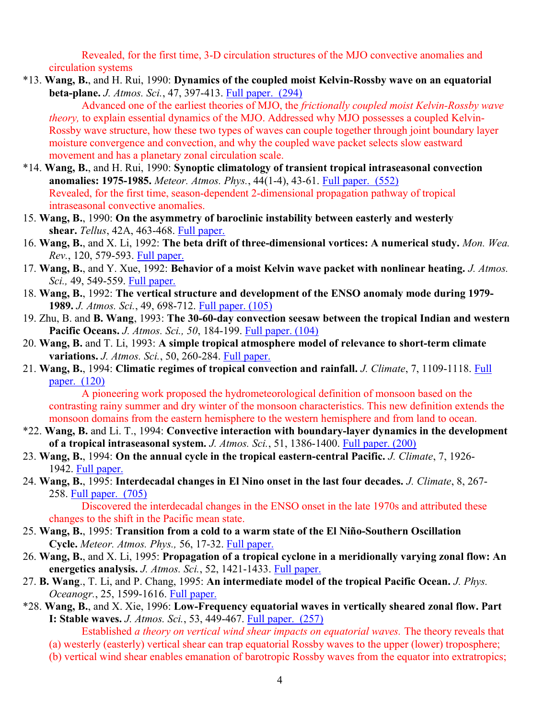Revealed, for the first time, 3-D circulation structures of the MJO convective anomalies and circulation systems

\*13. Wang, B., and H. Rui, 1990: Dynamics of the coupled moist Kelvin-Rossby wave on an equatorial beta-plane. J. Atmos. Sci., 47, 397-413. Full paper. (294)

Advanced one of the earliest theories of MJO, the *frictionally coupled moist Kelvin-Rossby wave* theory, to explain essential dynamics of the MJO. Addressed why MJO possesses a coupled Kelvin-Rossby wave structure, how these two types of waves can couple together through joint boundary layer moisture convergence and convection, and why the coupled wave packet selects slow eastward movement and has a planetary zonal circulation scale.

- \*14. Wang, B., and H. Rui, 1990: Synoptic climatology of transient tropical intraseasonal convection anomalies: 1975-1985. Meteor. Atmos. Phys., 44(1-4), 43-61. Full paper. (552) Revealed, for the first time, season-dependent 2-dimensional propagation pathway of tropical intraseasonal convective anomalies.
- 15. Wang, B., 1990: On the asymmetry of baroclinic instability between easterly and westerly shear. Tellus, 42A, 463-468. Full paper.
- 16. Wang, B., and X. Li, 1992: The beta drift of three-dimensional vortices: A numerical study. Mon. Wea. Rev., 120, 579-593. Full paper.
- 17. Wang, B., and Y. Xue, 1992: Behavior of a moist Kelvin wave packet with nonlinear heating. J. Atmos. Sci., 49, 549-559. Full paper.
- 18. Wang, B., 1992: The vertical structure and development of the ENSO anomaly mode during 1979- 1989. J. Atmos. Sci., 49, 698-712. Full paper. (105)
- 19. Zhu, B. and B. Wang, 1993: The 30-60-day convection seesaw between the tropical Indian and western Pacific Oceans. J. Atmos. Sci., 50, 184-199. Full paper. (104)
- 20. Wang, B. and T. Li, 1993: A simple tropical atmosphere model of relevance to short-term climate variations. J. Atmos. Sci., 50, 260-284. Full paper.
- 21. Wang, B., 1994: Climatic regimes of tropical convection and rainfall. J. Climate, 7, 1109-1118. Full paper. (120)

 A pioneering work proposed the hydrometeorological definition of monsoon based on the contrasting rainy summer and dry winter of the monsoon characteristics. This new definition extends the monsoon domains from the eastern hemisphere to the western hemisphere and from land to ocean.

- \*22. Wang, B. and Li. T., 1994: Convective interaction with boundary-layer dynamics in the development of a tropical intraseasonal system. J. Atmos. Sci., 51, 1386-1400. Full paper. (200)
- 23. Wang, B., 1994: On the annual cycle in the tropical eastern-central Pacific. J. Climate, 7, 1926- 1942. Full paper.
- 24. Wang, B., 1995: Interdecadal changes in El Nino onset in the last four decades. J. Climate, 8, 267- 258. Full paper. (705)

 Discovered the interdecadal changes in the ENSO onset in the late 1970s and attributed these changes to the shift in the Pacific mean state.

- 25. Wang, B., 1995: Transition from a cold to a warm state of the El Niño-Southern Oscillation Cycle. Meteor. Atmos. Phys., 56, 17-32. Full paper.
- 26. Wang, B., and X. Li, 1995: Propagation of a tropical cyclone in a meridionally varying zonal flow: An energetics analysis. J. Atmos. Sci., 52, 1421-1433. Full paper.
- 27. B. Wang., T. Li, and P. Chang, 1995: An intermediate model of the tropical Pacific Ocean. J. Phys. Oceanogr., 25, 1599-1616. Full paper.
- \*28. Wang, B., and X. Xie, 1996: Low-Frequency equatorial waves in vertically sheared zonal flow. Part I: Stable waves. J. Atmos. Sci., 53, 449-467. Full paper. (257)

Established a theory on vertical wind shear impacts on equatorial waves. The theory reveals that

- (a) westerly (easterly) vertical shear can trap equatorial Rossby waves to the upper (lower) troposphere;
- (b) vertical wind shear enables emanation of barotropic Rossby waves from the equator into extratropics;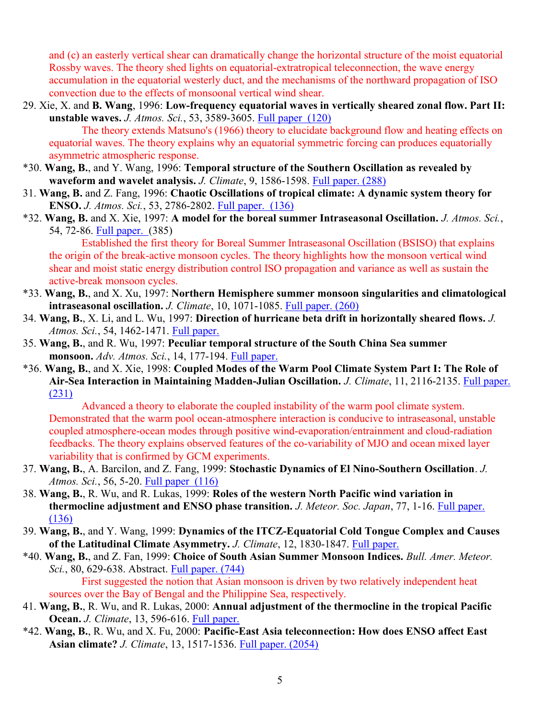and (c) an easterly vertical shear can dramatically change the horizontal structure of the moist equatorial Rossby waves. The theory shed lights on equatorial-extratropical teleconnection, the wave energy accumulation in the equatorial westerly duct, and the mechanisms of the northward propagation of ISO convection due to the effects of monsoonal vertical wind shear.

- 29. Xie, X. and B. Wang, 1996: Low-frequency equatorial waves in vertically sheared zonal flow. Part II: unstable waves. J. Atmos. Sci., 53, 3589-3605. Full paper (120) The theory extends Matsuno's (1966) theory to elucidate background flow and heating effects on equatorial waves. The theory explains why an equatorial symmetric forcing can produces equatorially asymmetric atmospheric response.
- \*30. Wang, B., and Y. Wang, 1996: Temporal structure of the Southern Oscillation as revealed by waveform and wavelet analysis. J. Climate, 9, 1586-1598. Full paper. (288)
- 31. Wang, B. and Z. Fang, 1996: Chaotic Oscillations of tropical climate: A dynamic system theory for ENSO. J. Atmos. Sci., 53, 2786-2802. Full paper. (136)
- \*32. Wang, B. and X. Xie, 1997: A model for the boreal summer Intraseasonal Oscillation. J. Atmos. Sci., 54, 72-86. Full paper. (385)

 Established the first theory for Boreal Summer Intraseasonal Oscillation (BSISO) that explains the origin of the break-active monsoon cycles. The theory highlights how the monsoon vertical wind shear and moist static energy distribution control ISO propagation and variance as well as sustain the active-break monsoon cycles.

- \*33. Wang, B., and X. Xu, 1997: Northern Hemisphere summer monsoon singularities and climatological intraseasonal oscillation. J. Climate, 10, 1071-1085. Full paper. (260)
- 34. Wang, B., X. Li, and L. Wu, 1997: Direction of hurricane beta drift in horizontally sheared flows. J. Atmos. Sci., 54, 1462-1471. Full paper.
- 35. Wang, B., and R. Wu, 1997: Peculiar temporal structure of the South China Sea summer monsoon. Adv. Atmos. Sci., 14, 177-194. Full paper.
- \*36. Wang, B., and X. Xie, 1998: Coupled Modes of the Warm Pool Climate System Part I: The Role of Air-Sea Interaction in Maintaining Madden-Julian Oscillation. J. Climate, 11, 2116-2135. Full paper. (231)

Advanced a theory to elaborate the coupled instability of the warm pool climate system. Demonstrated that the warm pool ocean-atmosphere interaction is conducive to intraseasonal, unstable coupled atmosphere-ocean modes through positive wind-evaporation/entrainment and cloud-radiation feedbacks. The theory explains observed features of the co-variability of MJO and ocean mixed layer variability that is confirmed by GCM experiments.

- 37. Wang, B., A. Barcilon, and Z. Fang, 1999: Stochastic Dynamics of El Nino-Southern Oscillation. J. Atmos. Sci., 56, 5-20. Full paper (116)
- 38. Wang, B., R. Wu, and R. Lukas, 1999: Roles of the western North Pacific wind variation in thermocline adjustment and ENSO phase transition. *J. Meteor. Soc. Japan*, 77, 1-16. Full paper. (136)
- 39. Wang, B., and Y. Wang, 1999: Dynamics of the ITCZ-Equatorial Cold Tongue Complex and Causes of the Latitudinal Climate Asymmetry. J. Climate, 12, 1830-1847. Full paper.
- \*40. Wang, B., and Z. Fan, 1999: Choice of South Asian Summer Monsoon Indices. Bull. Amer. Meteor. Sci., 80, 629-638. Abstract. Full paper. (744) First suggested the notion that Asian monsoon is driven by two relatively independent heat sources over the Bay of Bengal and the Philippine Sea, respectively.
- 41. Wang, B., R. Wu, and R. Lukas, 2000: Annual adjustment of the thermocline in the tropical Pacific Ocean. J. Climate, 13, 596-616. Full paper.
- \*42. Wang, B., R. Wu, and X. Fu, 2000: Pacific-East Asia teleconnection: How does ENSO affect East Asian climate? J. Climate, 13, 1517-1536. Full paper. (2054)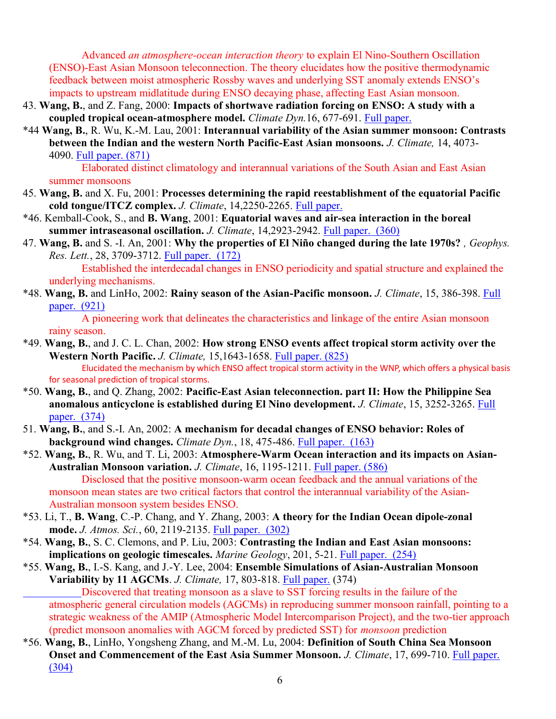Advanced an atmosphere-ocean interaction theory to explain El Nino-Southern Oscillation (ENSO)-East Asian Monsoon teleconnection. The theory elucidates how the positive thermodynamic feedback between moist atmospheric Rossby waves and underlying SST anomaly extends ENSO's impacts to upstream midlatitude during ENSO decaying phase, affecting East Asian monsoon.

- 43. Wang, B., and Z. Fang, 2000: Impacts of shortwave radiation forcing on ENSO: A study with a coupled tropical ocean-atmosphere model. Climate Dyn.16, 677-691. Full paper.
- \*44 Wang, B., R. Wu, K.-M. Lau, 2001: Interannual variability of the Asian summer monsoon: Contrasts between the Indian and the western North Pacific-East Asian monsoons. J. Climate, 14, 4073-4090. Full paper. (871)

 Elaborated distinct climatology and interannual variations of the South Asian and East Asian summer monsoons

- 45. Wang, B. and X. Fu, 2001: Processes determining the rapid reestablishment of the equatorial Pacific cold tongue/ITCZ complex. J. Climate, 14,2250-2265. Full paper.
- \*46. Kemball-Cook, S., and B. Wang, 2001: Equatorial waves and air-sea interaction in the boreal summer intraseasonal oscillation. J. Climate, 14,2923-2942. Full paper. (360)
- 47. Wang, B. and S. -I. An, 2001: Why the properties of El Niño changed during the late 1970s?, Geophys. Res. Lett., 28, 3709-3712. Full paper. (172)

 Established the interdecadal changes in ENSO periodicity and spatial structure and explained the underlying mechanisms.

\*48. Wang, B. and LinHo, 2002: Rainy season of the Asian-Pacific monsoon. J. Climate, 15, 386-398. Full paper. (921)

 A pioneering work that delineates the characteristics and linkage of the entire Asian monsoon rainy season.

- \*49. Wang, B., and J. C. L. Chan, 2002: How strong ENSO events affect tropical storm activity over the Western North Pacific. J. Climate, 15,1643-1658. Full paper. (825) Elucidated the mechanism by which ENSO affect tropical storm activity in the WNP, which offers a physical basis for seasonal prediction of tropical storms.
- \*50. Wang, B., and Q. Zhang, 2002: Pacific-East Asian teleconnection. part II: How the Philippine Sea anomalous anticyclone is established during El Nino development. J. Climate, 15, 3252-3265. Full paper. (374)
- 51. Wang, B., and S.-I. An, 2002: A mechanism for decadal changes of ENSO behavior: Roles of background wind changes. Climate Dyn., 18, 475-486. Full paper. (163)

\*52. Wang, B., R. Wu, and T. Li, 2003: Atmosphere-Warm Ocean interaction and its impacts on Asian-Australian Monsoon variation. J. Climate, 16, 1195-1211. Full paper. (586) Disclosed that the positive monsoon-warm ocean feedback and the annual variations of the monsoon mean states are two critical factors that control the interannual variability of the Asian-Australian monsoon system besides ENSO.

- \*53. Li, T., B. Wang, C.-P. Chang, and Y. Zhang, 2003: A theory for the Indian Ocean dipole-zonal mode. *J. Atmos. Sci.*, 60, 2119-2135. Full paper. (302)
- \*54. Wang, B., S. C. Clemons, and P. Liu, 2003: Contrasting the Indian and East Asian monsoons: implications on geologic timescales. Marine Geology, 201, 5-21. Full paper. (254)
- \*55. Wang, B., I.-S. Kang, and J.-Y. Lee, 2004: Ensemble Simulations of Asian-Australian Monsoon Variability by 11 AGCMs. J. Climate, 17, 803-818. Full paper. (374) Discovered that treating monsoon as a slave to SST forcing results in the failure of the atmospheric general circulation models (AGCMs) in reproducing summer monsoon rainfall, pointing to a

strategic weakness of the AMIP (Atmospheric Model Intercomparison Project), and the two-tier approach (predict monsoon anomalies with AGCM forced by predicted SST) for monsoon prediction \*56. Wang, B., LinHo, Yongsheng Zhang, and M.-M. Lu, 2004: Definition of South China Sea Monsoon

Onset and Commencement of the East Asia Summer Monsoon. J. Climate, 17, 699-710. Full paper. (304)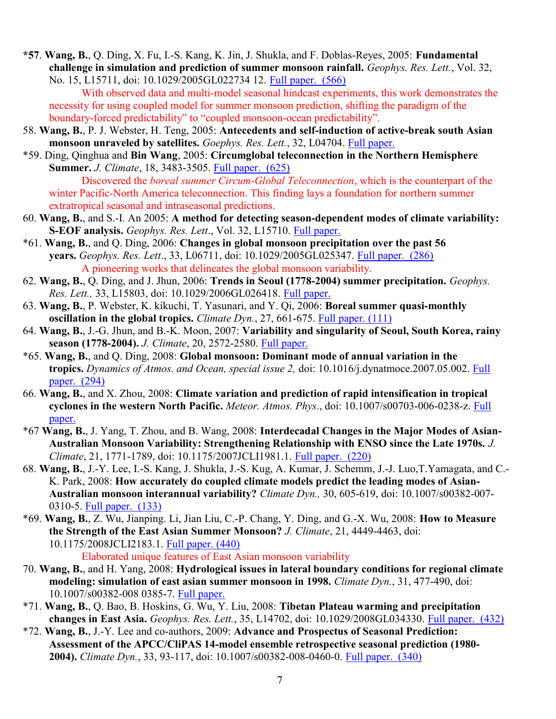\*57. Wang, B., Q. Ding, X. Fu, I.-S. Kang, K. Jin, J. Shukla, and F. Doblas-Reyes, 2005: Fundamental challenge in simulation and prediction of summer monsoon rainfall. Geophys. Res. Lett., Vol. 32, No. 15, L15711, doi: 10.1029/2005GL022734 12. Full paper. (566)

With observed data and multi-model seasonal hindcast experiments, this work demonstrates the necessity for using coupled model for summer monsoon prediction, shifting the paradigm of the boundary-forced predictability" to "coupled monsoon-ocean predictability".

- 58. Wang, B., P. J. Webster, H. Teng, 2005: Antecedents and self-induction of active-break south Asian monsoon unraveled by satellites. Goephys. Res. Lett., 32, L04704. Full paper.
- \*59. Ding, Qinghua and Bin Wang, 2005: Circumglobal teleconnection in the Northern Hemisphere Summer. J. Climate, 18, 3483-3505. Full paper. (625)

Discovered the *boreal summer Circum-Global Teleconnection*, which is the counterpart of the winter Pacific-North America teleconnection. This finding lays a foundation for northern summer extratropical seasonal and intraseasonal predictions.

- 60. Wang, B., and S.-I. An 2005: A method for detecting season-dependent modes of climate variability: S-EOF analysis. Geophys. Res. Lett., Vol. 32, L15710. Full paper.
- \*61. Wang, B., and Q. Ding, 2006: Changes in global monsoon precipitation over the past 56 years. Geophys. Res. Lett., 33, L06711, doi: 10.1029/2005GL025347. Full paper. (286) A pioneering works that delineates the global monsoon variability.
- 62. Wang, B., Q. Ding, and J. Jhun, 2006: Trends in Seoul (1778-2004) summer precipitation. Geophys. Res. Lett., 33, L15803, doi: 10.1029/2006GL026418. Full paper.
- 63. Wang, B., P. Webster, K. kikuchi, T. Yasunari, and Y. Qi, 2006: Boreal summer quasi-monthly oscillation in the global tropics. *Climate Dyn.*, 27, 661-675. Full paper.  $(111)$
- 64. Wang, B., J.-G. Jhun, and B.-K. Moon, 2007: Variability and singularity of Seoul, South Korea, rainy season (1778-2004). *J. Climate*, 20, 2572-2580. Full paper.
- \*65. Wang, B., and Q. Ding, 2008: Global monsoon: Dominant mode of annual variation in the tropics. Dynamics of Atmos. and Ocean, special issue 2, doi: 10.1016/j.dynatmoce.2007.05.002. Full paper. (294)
- 66. Wang, B., and X. Zhou, 2008: Climate variation and prediction of rapid intensification in tropical cyclones in the western North Pacific. Meteor. Atmos. Phys., doi: 10.1007/s00703-006-0238-z. Full paper.
- \*67 Wang, B., J. Yang, T. Zhou, and B. Wang, 2008: Interdecadal Changes in the Major Modes of Asian-Australian Monsoon Variability: Strengthening Relationship with ENSO since the Late 1970s. J. Climate, 21, 1771-1789, doi: 10.1175/2007JCLI1981.1. Full paper. (220)
- 68. Wang, B., J.-Y. Lee, I.-S. Kang, J. Shukla, J.-S. Kug, A. Kumar, J. Schemm, J.-J. Luo,T.Yamagata, and C.- K. Park, 2008: How accurately do coupled climate models predict the leading modes of Asian-Australian monsoon interannual variability? Climate Dyn., 30, 605-619, doi: 10.1007/s00382-007- 0310-5. Full paper. (133)
- \*69. Wang, B., Z. Wu, Jianping. Li, Jian Liu, C.-P. Chang, Y. Ding, and G.-X. Wu, 2008: How to Measure the Strength of the East Asian Summer Monsoon? J. Climate, 21, 4449-4463, doi: 10.1175/2008JCLI2183.1. Full paper. (440)
	- Elaborated unique features of East Asian monsoon variability
- 70. Wang, B., and H. Yang, 2008: Hydrological issues in lateral boundary conditions for regional climate modeling: simulation of east asian summer monsoon in 1998. Climate Dyn., 31, 477-490, doi: 10.1007/s00382-008 0385-7. Full paper.
- \*71. Wang, B., Q. Bao, B. Hoskins, G. Wu, Y. Liu, 2008: Tibetan Plateau warming and precipitation changes in East Asia. Geophys. Res. Lett., 35, L14702, doi: 10.1029/2008GL034330. Full paper. (432)
- \*72. Wang, B., J.-Y. Lee and co-authors, 2009: Advance and Prospectus of Seasonal Prediction: Assessment of the APCC/CliPAS 14-model ensemble retrospective seasonal prediction (1980- 2004). Climate Dyn., 33, 93-117, doi: 10.1007/s00382-008-0460-0. Full paper. (340)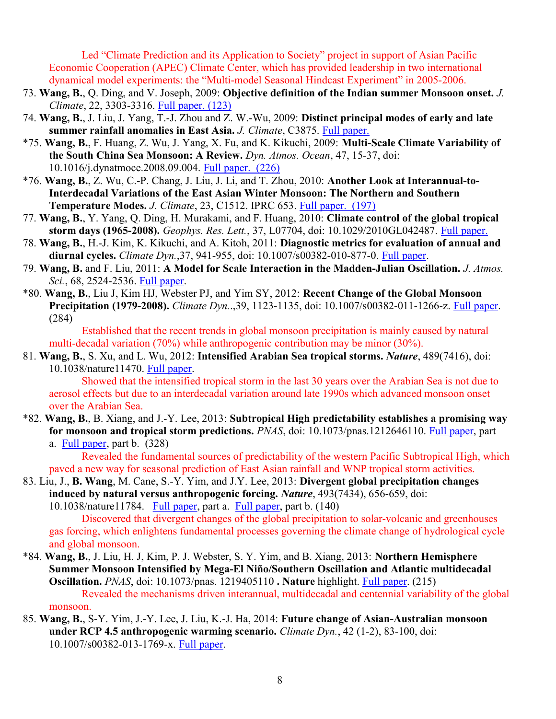Led "Climate Prediction and its Application to Society" project in support of Asian Pacific Economic Cooperation (APEC) Climate Center, which has provided leadership in two international dynamical model experiments: the "Multi-model Seasonal Hindcast Experiment" in 2005-2006.

- 73. Wang, B., Q. Ding, and V. Joseph, 2009: Objective definition of the Indian summer Monsoon onset. J. Climate, 22, 3303-3316. Full paper. (123)
- 74. Wang, B., J. Liu, J. Yang, T.-J. Zhou and Z. W.-Wu, 2009: Distinct principal modes of early and late summer rainfall anomalies in East Asia. J. Climate, C3875. Full paper.
- \*75. Wang, B., F. Huang, Z. Wu, J. Yang, X. Fu, and K. Kikuchi, 2009: Multi-Scale Climate Variability of the South China Sea Monsoon: A Review. Dyn. Atmos. Ocean, 47, 15-37, doi: 10.1016/j.dynatmoce.2008.09.004. Full paper. (226)
- \*76. Wang, B., Z. Wu, C.-P. Chang, J. Liu, J. Li, and T. Zhou, 2010: Another Look at Interannual-to-Interdecadal Variations of the East Asian Winter Monsoon: The Northern and Southern Temperature Modes. J. Climate, 23, C1512. IPRC 653. Full paper. (197)
- 77. Wang, B., Y. Yang, Q. Ding, H. Murakami, and F. Huang, 2010: Climate control of the global tropical storm days (1965-2008). Geophys. Res. Lett., 37, L07704, doi: 10.1029/2010GL042487. Full paper.
- 78. Wang, B., H.-J. Kim, K. Kikuchi, and A. Kitoh, 2011: Diagnostic metrics for evaluation of annual and diurnal cycles. Climate Dyn.,37, 941-955, doi: 10.1007/s00382-010-877-0. Full paper.
- 79. Wang, B. and F. Liu, 2011: A Model for Scale Interaction in the Madden-Julian Oscillation. J. Atmos. Sci., 68, 2524-2536. Full paper.
- \*80. Wang, B., Liu J, Kim HJ, Webster PJ, and Yim SY, 2012: Recent Change of the Global Monsoon Precipitation (1979-2008). Climate Dyn..,39, 1123-1135, doi: 10.1007/s00382-011-1266-z. Full paper. (284)

 Established that the recent trends in global monsoon precipitation is mainly caused by natural multi-decadal variation (70%) while anthropogenic contribution may be minor (30%).

81. Wang, B., S. Xu, and L. Wu, 2012: Intensified Arabian Sea tropical storms. Nature, 489(7416), doi: 10.1038/nature11470. Full paper.

 Showed that the intensified tropical storm in the last 30 years over the Arabian Sea is not due to aerosol effects but due to an interdecadal variation around late 1990s which advanced monsoon onset over the Arabian Sea.

\*82. Wang, B., B. Xiang, and J.-Y. Lee, 2013: Subtropical High predictability establishes a promising way for monsoon and tropical storm predictions. PNAS, doi: 10.1073/pnas.1212646110. Full paper, part a. Full paper, part b. (328)

 Revealed the fundamental sources of predictability of the western Pacific Subtropical High, which paved a new way for seasonal prediction of East Asian rainfall and WNP tropical storm activities.

83. Liu, J., B. Wang, M. Cane, S.-Y. Yim, and J.Y. Lee, 2013: Divergent global precipitation changes induced by natural versus anthropogenic forcing. Nature, 493(7434), 656-659, doi: 10.1038/nature11784. Full paper, part a. Full paper, part b. (140)

 Discovered that divergent changes of the global precipitation to solar-volcanic and greenhouses gas forcing, which enlightens fundamental processes governing the climate change of hydrological cycle and global monsoon.

- \*84. Wang, B., J. Liu, H. J, Kim, P. J. Webster, S. Y. Yim, and B. Xiang, 2013: Northern Hemisphere Summer Monsoon Intensified by Mega-El Niño/Southern Oscillation and Atlantic multidecadal Oscillation. PNAS, doi: 10.1073/pnas. 1219405110 . Nature highlight. Full paper. (215) Revealed the mechanisms driven interannual, multidecadal and centennial variability of the global monsoon.
- 85. Wang, B., S-Y. Yim, J.-Y. Lee, J. Liu, K.-J. Ha, 2014: Future change of Asian-Australian monsoon under RCP 4.5 anthropogenic warming scenario. *Climate Dyn.*, 42 (1-2), 83-100, doi: 10.1007/s00382-013-1769-x. Full paper.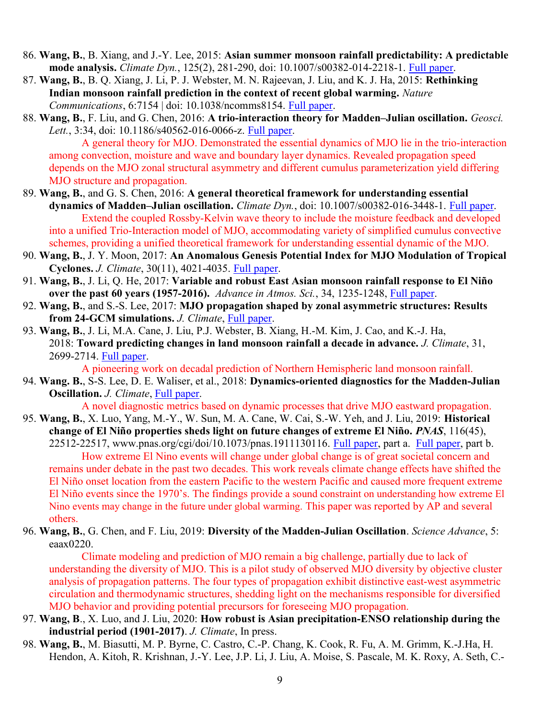- 86. Wang, B., B. Xiang, and J.-Y. Lee, 2015: Asian summer monsoon rainfall predictability: A predictable mode analysis. *Climate Dyn.*, 125(2), 281-290, doi: 10.1007/s00382-014-2218-1. Full paper.
- 87. Wang, B., B. Q. Xiang, J. Li, P. J. Webster, M. N. Rajeevan, J. Liu, and K. J. Ha, 2015: Rethinking Indian monsoon rainfall prediction in the context of recent global warming. Nature Communications, 6:7154 | doi: 10.1038/ncomms8154. Full paper.
- 88. Wang, B., F. Liu, and G. Chen, 2016: A trio-interaction theory for Madden–Julian oscillation. Geosci. Lett., 3:34, doi: 10.1186/s40562-016-0066-z. Full paper.

A general theory for MJO. Demonstrated the essential dynamics of MJO lie in the trio-interaction among convection, moisture and wave and boundary layer dynamics. Revealed propagation speed depends on the MJO zonal structural asymmetry and different cumulus parameterization yield differing MJO structure and propagation.

- 89. Wang, B., and G. S. Chen, 2016: A general theoretical framework for understanding essential dynamics of Madden–Julian oscillation. Climate Dyn., doi: 10.1007/s00382-016-3448-1. Full paper. Extend the coupled Rossby-Kelvin wave theory to include the moisture feedback and developed into a unified Trio-Interaction model of MJO, accommodating variety of simplified cumulus convective schemes, providing a unified theoretical framework for understanding essential dynamic of the MJO.
- 90. Wang, B., J. Y. Moon, 2017: An Anomalous Genesis Potential Index for MJO Modulation of Tropical Cyclones. J. Climate, 30(11), 4021-4035. Full paper.
- 91. Wang, B., J. Li, Q. He, 2017: Variable and robust East Asian monsoon rainfall response to El Niño over the past 60 years (1957-2016). Advance in Atmos. Sci., 34, 1235-1248, Full paper.
- 92. Wang, B., and S.-S. Lee, 2017: MJO propagation shaped by zonal asymmetric structures: Results from 24-GCM simulations. J. Climate, Full paper.
- 93. Wang, B., J. Li, M.A. Cane, J. Liu, P.J. Webster, B. Xiang, H.-M. Kim, J. Cao, and K.-J. Ha, 2018: Toward predicting changes in land monsoon rainfall a decade in advance. J. Climate, 31, 2699-2714. Full paper.

A pioneering work on decadal prediction of Northern Hemispheric land monsoon rainfall.

94. Wang. B., S-S. Lee, D. E. Waliser, et al., 2018: Dynamics-oriented diagnostics for the Madden-Julian Oscillation. J. Climate, Full paper.

A novel diagnostic metrics based on dynamic processes that drive MJO eastward propagation.

- 95. Wang, B., X. Luo, Yang, M.-Y., W. Sun, M. A. Cane, W. Cai, S.-W. Yeh, and J. Liu, 2019: Historical change of El Niño properties sheds light on future changes of extreme El Niño. PNAS, 116(45),  $22512-22517$ , www.pnas.org/cgi/doi/10.1073/pnas.1911130116. Full paper, part a. Full paper, part b. How extreme El Nino events will change under global change is of great societal concern and remains under debate in the past two decades. This work reveals climate change effects have shifted the El Niño onset location from the eastern Pacific to the western Pacific and caused more frequent extreme El Niño events since the 1970's. The findings provide a sound constraint on understanding how extreme El Nino events may change in the future under global warming. This paper was reported by AP and several others.
- 96. Wang, B., G. Chen, and F. Liu, 2019: Diversity of the Madden-Julian Oscillation. Science Advance, 5: eaax0220.

 Climate modeling and prediction of MJO remain a big challenge, partially due to lack of understanding the diversity of MJO. This is a pilot study of observed MJO diversity by objective cluster analysis of propagation patterns. The four types of propagation exhibit distinctive east-west asymmetric circulation and thermodynamic structures, shedding light on the mechanisms responsible for diversified MJO behavior and providing potential precursors for foreseeing MJO propagation.

- 97. Wang, B., X. Luo, and J. Liu, 2020: How robust is Asian precipitation-ENSO relationship during the industrial period (1901-2017). J. Climate, In press.
- 98. Wang, B., M. Biasutti, M. P. Byrne, C. Castro, C.-P. Chang, K. Cook, R. Fu, A. M. Grimm, K.-J.Ha, H. Hendon, A. Kitoh, R. Krishnan, J.-Y. Lee, J.P. Li, J. Liu, A. Moise, S. Pascale, M. K. Roxy, A. Seth, C.-